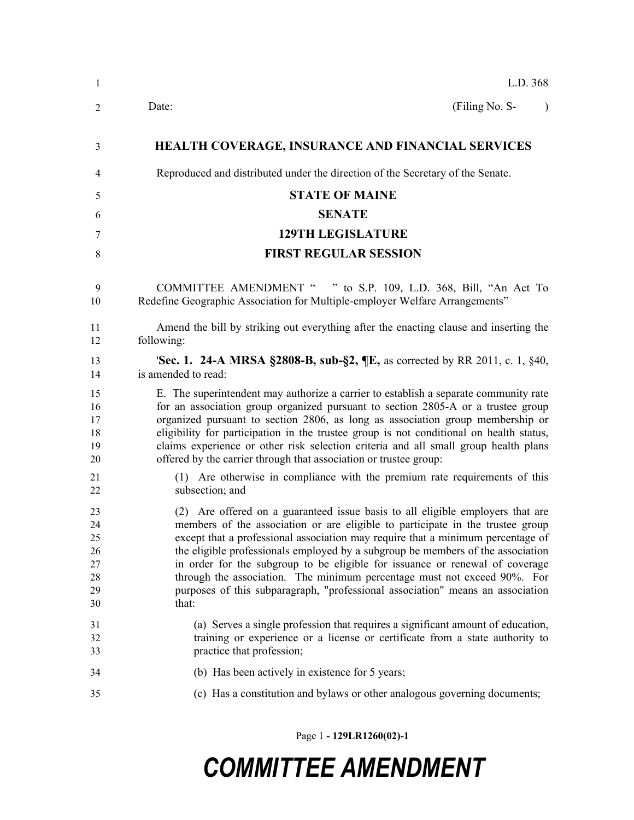| $\mathbf{1}$                                     | L.D. 368                                                                                                                                                                                                                                                                                                                                                                                                                                                                                                                                                                                      |  |
|--------------------------------------------------|-----------------------------------------------------------------------------------------------------------------------------------------------------------------------------------------------------------------------------------------------------------------------------------------------------------------------------------------------------------------------------------------------------------------------------------------------------------------------------------------------------------------------------------------------------------------------------------------------|--|
| $\overline{2}$                                   | (Filing No. S-<br>Date:<br>$\lambda$                                                                                                                                                                                                                                                                                                                                                                                                                                                                                                                                                          |  |
| 3                                                | <b>HEALTH COVERAGE, INSURANCE AND FINANCIAL SERVICES</b>                                                                                                                                                                                                                                                                                                                                                                                                                                                                                                                                      |  |
| 4                                                | Reproduced and distributed under the direction of the Secretary of the Senate.                                                                                                                                                                                                                                                                                                                                                                                                                                                                                                                |  |
| 5                                                | <b>STATE OF MAINE</b>                                                                                                                                                                                                                                                                                                                                                                                                                                                                                                                                                                         |  |
| 6                                                | <b>SENATE</b>                                                                                                                                                                                                                                                                                                                                                                                                                                                                                                                                                                                 |  |
| 7                                                | <b>129TH LEGISLATURE</b>                                                                                                                                                                                                                                                                                                                                                                                                                                                                                                                                                                      |  |
| 8                                                | <b>FIRST REGULAR SESSION</b>                                                                                                                                                                                                                                                                                                                                                                                                                                                                                                                                                                  |  |
| 9<br>10                                          | COMMITTEE AMENDMENT " " to S.P. 109, L.D. 368, Bill, "An Act To<br>Redefine Geographic Association for Multiple-employer Welfare Arrangements"                                                                                                                                                                                                                                                                                                                                                                                                                                                |  |
| 11<br>12                                         | Amend the bill by striking out everything after the enacting clause and inserting the<br>following:                                                                                                                                                                                                                                                                                                                                                                                                                                                                                           |  |
| 13<br>14                                         | 'Sec. 1. 24-A MRSA §2808-B, sub-§2, ¶E, as corrected by RR 2011, c. 1, §40,<br>is amended to read:                                                                                                                                                                                                                                                                                                                                                                                                                                                                                            |  |
| 15<br>16<br>17<br>18<br>19<br>20                 | E. The superintendent may authorize a carrier to establish a separate community rate<br>for an association group organized pursuant to section 2805-A or a trustee group<br>organized pursuant to section 2806, as long as association group membership or<br>eligibility for participation in the trustee group is not conditional on health status,<br>claims experience or other risk selection criteria and all small group health plans<br>offered by the carrier through that association or trustee group:                                                                             |  |
| 21<br>22                                         | (1) Are otherwise in compliance with the premium rate requirements of this<br>subsection; and                                                                                                                                                                                                                                                                                                                                                                                                                                                                                                 |  |
| 23<br>24<br>25<br>26<br>$27\,$<br>28<br>29<br>30 | (2) Are offered on a guaranteed issue basis to all eligible employers that are<br>members of the association or are eligible to participate in the trustee group<br>except that a professional association may require that a minimum percentage of<br>the eligible professionals employed by a subgroup be members of the association<br>in order for the subgroup to be eligible for issuance or renewal of coverage<br>through the association. The minimum percentage must not exceed 90%. For<br>purposes of this subparagraph, "professional association" means an association<br>that: |  |
| 31<br>32<br>33                                   | (a) Serves a single profession that requires a significant amount of education,<br>training or experience or a license or certificate from a state authority to<br>practice that profession;                                                                                                                                                                                                                                                                                                                                                                                                  |  |
| 34                                               | (b) Has been actively in existence for 5 years;                                                                                                                                                                                                                                                                                                                                                                                                                                                                                                                                               |  |
| 35                                               | (c) Has a constitution and bylaws or other analogous governing documents;                                                                                                                                                                                                                                                                                                                                                                                                                                                                                                                     |  |

Page 1 **- 129LR1260(02)-1**

## *COMMITTEE AMENDMENT*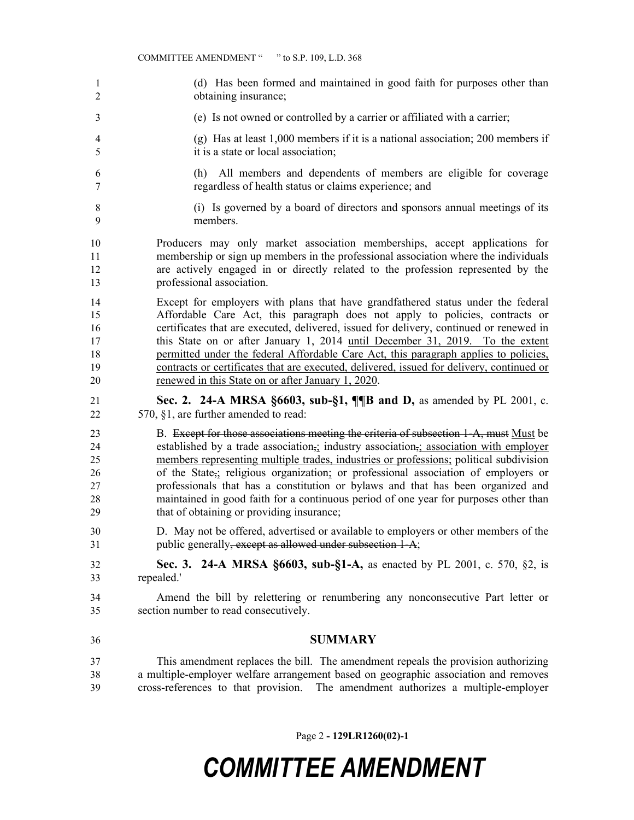- (d) Has been formed and maintained in good faith for purposes other than obtaining insurance;
- (e) Is not owned or controlled by a carrier or affiliated with a carrier;
- (g) Has at least 1,000 members if it is a national association; 200 members if it is a state or local association;
- (h) All members and dependents of members are eligible for coverage regardless of health status or claims experience; and
- (i) Is governed by a board of directors and sponsors annual meetings of its members.

 Producers may only market association memberships, accept applications for membership or sign up members in the professional association where the individuals are actively engaged in or directly related to the profession represented by the professional association.

 Except for employers with plans that have grandfathered status under the federal Affordable Care Act, this paragraph does not apply to policies, contracts or certificates that are executed, delivered, issued for delivery, continued or renewed in this State on or after January 1, 2014 until December 31, 2019. To the extent permitted under the federal Affordable Care Act, this paragraph applies to policies, contracts or certificates that are executed, delivered, issued for delivery, continued or renewed in this State on or after January 1, 2020.

 **Sec. 2. 24-A MRSA §6603, sub-§1, ¶¶B and D,** as amended by PL 2001, c. 570, §1, are further amended to read:

23 B. Except for those associations meeting the criteria of subsection 1-A, must Must be established by a trade association,; industry association,; association with employer members representing multiple trades, industries or professions; political subdivision of the State,; religious organization; or professional association of employers or professionals that has a constitution or bylaws and that has been organized and maintained in good faith for a continuous period of one year for purposes other than that of obtaining or providing insurance;

 D. May not be offered, advertised or available to employers or other members of the 31 public generally, except as allowed under subsection 1-A;

 **Sec. 3. 24-A MRSA §6603, sub-§1-A,** as enacted by PL 2001, c. 570, §2, is repealed.'

 Amend the bill by relettering or renumbering any nonconsecutive Part letter or section number to read consecutively.

**SUMMARY**

 This amendment replaces the bill. The amendment repeals the provision authorizing a multiple-employer welfare arrangement based on geographic association and removes cross-references to that provision. The amendment authorizes a multiple-employer

Page 2 **- 129LR1260(02)-1**

## *COMMITTEE AMENDMENT*